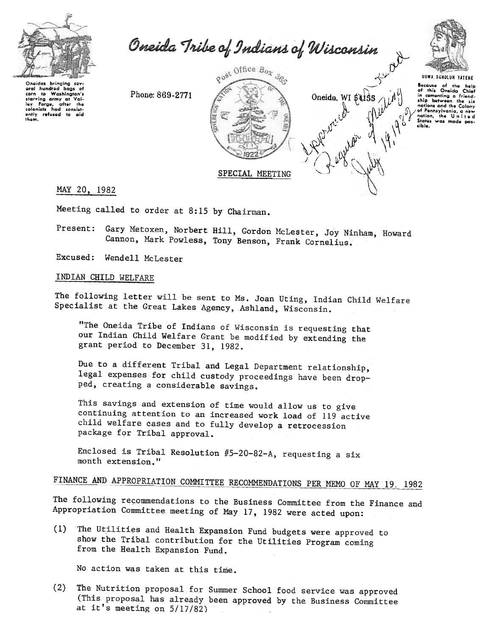

Oneida Tribe of Indians of Wisconsin



UGWA DEHOLUH YATEHE

 $\rightarrow$ 

,  $\theta^*$   $\qquad \qquad$   $\mathcal{U} \mathcal{V}$ 

 $W^{\mu}$  $\mathcal{W}$  r  $\bigwedge^2 \mathfrak{gl}( \mathcal{C}^1)$  $\bigcap_{\alpha}$  ,  $\bigcap_{\beta}$ 

 $\sim$  $\mathcal{L}^{\mathcal{U}^{\mathcal{U}^{\mathcal{U}^{\mathcal{U}^{\mathcal{U}^{\mathcal{U}^{\mathcal{U}^{\mathcal{U}^{\mathcal{U}^{\mathcal{U}^{\mathcal{U}^{\mathcal{U}^{\mathcal{U}^{\mathcal{U}^{\mathcal{U}^{\mathcal{U}^{\mathcal{U}^{\mathcal{U}^{\mathcal{U}^{\mathcal{U}^{\mathcal{U}^{\mathcal{U}^{\mathcal{U}^{\mathcal{U}^{\mathcal{U}^{\mathcal{U}^{\mathcal{U}^{\mathcal{U}^{\mathcal{U}^{\mathcal{U}^{\mathcal$ 

 $\mathcal{L}$  /  $\mathcal{L}$   $\rightarrow$  1

**Because** of the help<br>  $\bigcap$   $\cdot$   $\bigcup_{\lambda}$  of this Oneida Chief Oneida. WI  $\oint 155 / H$   $\left| \begin{array}{ccc} 1 & \text{in connecting a friend.} \\ \text{ship between the size} \end{array} \right|$  $\mathbb{R}$  .  $\mathbb{R}$  ,  $\mathbb{R}$  ,  $\mathbb{R}$  ,  $\mathbb{R}$  of Pennsylvania,  $\mathbb{R}$  new  $\mathcal{W}$   $\left\{\begin{matrix} V & V \\ V & V \end{matrix}\right\}$   $\left\{\begin{matrix} V & \text{ratio, the United States was mode positive, and the provided HTML representation is a function of the image.}\right\}$ 

Oneidas bringing soy oral hundrod bags o:<br>corn to Washington's starving army at Val-<br>loy Forgo, after the<br>colonists had consistently refused to aid ,ham.

Phone: 869-2771



MAY 20. 1982

Meeting called to order at 8:15 by Chairman.

Present: Gary Metoxen, Norbert Hill, Gordon McLester, Joy Ninham, Howard Cannon, Mark Powless, Tony Benson, Frank Cornelius.

Excused: Wendell McLester

## INDIAN CHILD WELFARE

The following letter will be sent to Ms. Joan Uting, Indian Child Welfare Specialist at the Great Lakes Agency, Ashland, Wisconsin.

"The Oneida Tribe of Indians of Wisconsin is requesting that our Indian Child Welfare Grant be modified by extending the grant period to December 31, 1982.

Due to a different Tribal and Legal Department relationship, legal expenses for child custody proceedings have been dropped, creating a considerable savings.

This savings and extension of time would allow us to give continuing attention to an increased work load of 119 active child welfare Gases and to fully develop a retrocession package for Tribal approval.

Enclosed is Tribal Resolution  $#5-20-82-A$ , requesting a six month extension."

# FINANCE AND APPROPRIATION COMMITTEE RECOMMENDATIONS PER MEMO OF MAY 19, 1982

The following recommendations to the Business Committee from the Finance and Appropriation Committee meeting of May 17, 1982 were acted upon:

(1) The Utilities and Health Expansion Fund budgets were approved to show the Tribal contribution for the Utilities Program coming from the Health Expansion Fund.

No action was taken at this time.

(2) The Nutrition proposal for Summer School food service was approved (This proposal has already been approved by the Business Committee at it's meeting on 5/17/82)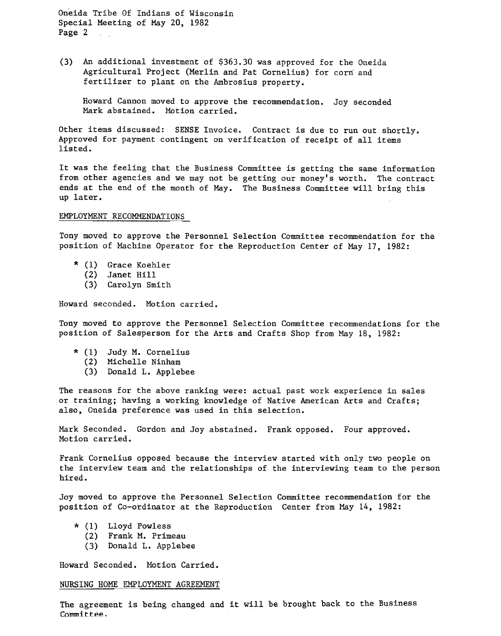(3) An additional investment of \$363.30 was approved for the Oneida Agricultural Project (Merlin and Pat Cornelius) for corn and fertilizer to plant on the Ambrosius property.

Howard Cannon moved to approve the recommendation. Joy seconded Mark abstained. Motion carried.

Other items discussed: SENSE Invoice. Contract is due to run out shortly. Approved for payment contingent on verification of receipt of all items listed.

It was the feeling that the Business Committee is getting the same information from other agencies and we may not be getting our money's worth. The contract ends at the end of the month of May. The Business Committee will bring this up later.

## EMPLOYMENT RECOMMENDATIONS

Tony moved to approve the Personnel Selection Committee recommendation for the position of Machine Operator for the Reproduction Center of May 17, 1982:

- \* (1) Grace Koehle
	- (2) Janet Hi
	- (3) Carolyn Smit

Howard seconded. Motion carried.

Tony moved to approve the Personnel Selection Committee recommendations for the position of Salesperson for the Arts and Crafts Shop from May 18, 1982:

- \* (1) Judy M. Corneli
	- (2) Michelle Ninham
	- (3) Donald L. Applebe

The reasons for the above ranking were: actual past work experience in sales or training; having a working knowledge of Native American Arts and Crafts; also, Oneida preference was used in this selection.

Mark Seconded. Gordon and Joy abstained. Frank opposed. Four approve Motion carried.

Frank Cornelius opposed because the interview started with only two people on the interview team and the relationships of the interviewing team to the person hired.

Joy moved to approve the Personnel Selection Committee recommendation for the position of Co-ordinator at the Reproduction Center from May 14, 1982:

- \* (1) Lloyd Powles
	- (2) Frank M. Primea
	- (3) Donald L. Applebe

Howard Seconded. Motion Carried.

## NURSING HOME EMPLOYMENT AGREEMENT

The agreement is being changed and it will be brought back to the Business Committee.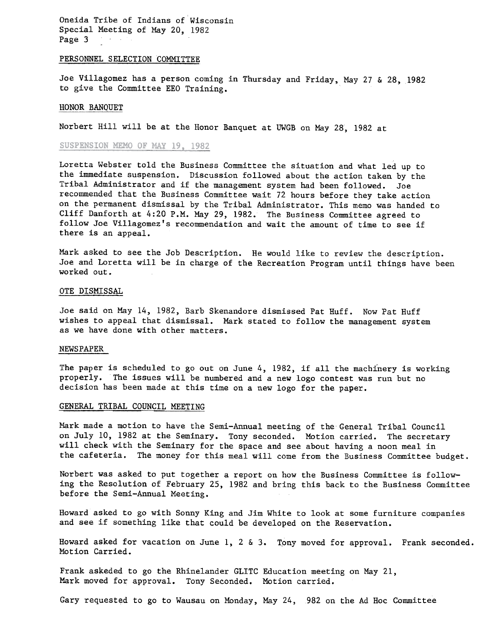## PERSONNEL SELECTION COMMITTEE

Joe Villagomez has a person coming in Thursday and Friday, May 27 & 28, 1982 to give the Committee EEO Training.

## HONOR BANQUET

Norbert Hill will be at the Honor Banquet at UWGB on May 28, 1982 at

## SUSPENSION MEMO OF MAY 19, 1982

Loretta Webster told the Business Committee the sj.tuation and what led up to the immediate suspension. Discussion followed about the action taken by the Tribal Administrator and if the management system had been followed. Joe recommended that the Business Committee wait 72 hours before they take action on the permanent dismissal by the Tribal Administrator. This memo was handed to Cliff Danforth at 4:20 P.M. May 29, 1982. The Business Committee agreed to follow Joe Villagomez's recommendation and wait the amount of time to see if there is an appeal.

Mark asked to see the Job Description. He would like to review the description. Joe and Loretta will be in charge of the Recreation Program until things have been worked out.

## OTE DISMISSAL

Joe said on May 14, 1982, Barb Skenandore dismissed Pat Huff. Now Pat Huff wishes to appeal that dismissal. Mark stated to follow the management system as we have done with other matters.

#### NEWSPAPER

The paper is scheduled to go out on June  $4$ , 1982, if all the machinery is working properly. The issues will be numbered and a new logo contest was run but no decision has been made at this time on a new logo for the paper.

## GENERAL TRIBAL COUNCIL MEETING

Mark made a motion to have the Semi-Annual meeting of the General Tribal Council on July 10, 1982 at the Seminary. Tony seconded. Motion carried. The secretary will check with the Seminary for the space and see about having a noon meal in the cafeteria. The money for this meal will come from the Business Committee budget.

Norbert was asked to put together a report on how the Business Committee is following the Resolution of February 25, 1982 and bring this back to the Business Committee before the Semi-Annual Meeting.

Howard asked to go with Sonny King and Jim White to look at some furniture companies and see if something like that could be developed on the Reservation.

Howard asked for vacation on June 1, 2 & 3. Tony moved for approval. Frank seconded Motion Carried.

Frank askeded to go the Rhinelander GLITC Education meeting on May 21, Mark moved for approval. Tony Seconded. Motion carried.

Gary requested to go to Wausau on Monday, May 24, 982 on the Ad Hoc Committee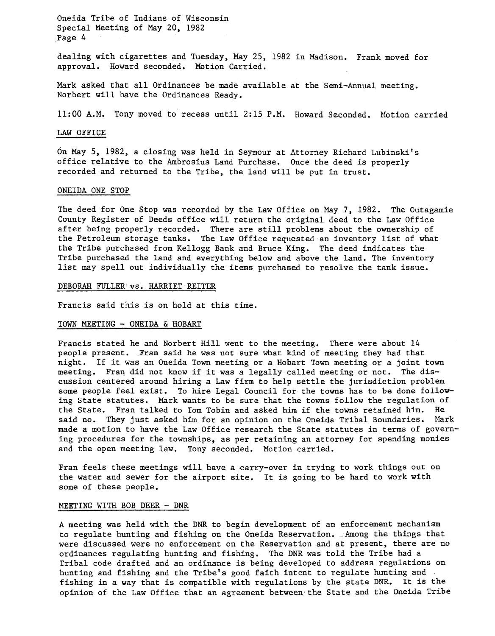dealing with cigarettes and Tuesday, May 25, 1982 in Madison. Frank moved fo approval. Howard seconded. Motion Carried.

Mark asked that all Ordinances be made available at the Semi-Annual meeting. Norbert will have the Ordinances Ready.

11:00 A.M. Tony moved to recess until 2:15 P.M. Howard Seconded. Motion carried

## LAW OFFICE

On May 5, 1982, a closing was held in Seymour at Attorney Richard Lubinski's office relative to the Ambrosius Land Purchase. Once the deed is properly recorded and returned to the Tribe, the land will be put in trust.

## ONEIDA ONE STOP

The deed for One Stop was recorded by the Law Office on May 7, 1982. The Outagamie County Register of Deeds office will return the original deed to the Law Office after being properly recorded. There are still problems about the ownership of the Petroleum storage tanks. The Law Office requested an inventory list of what the Tribe purchased from Kellogg Bank and Bruce King. The deed indicates the Tribe purchased the land and everything below and above the land. The inventory list may spell out individually the items purchased to resolve the tank issue.

## DEBORAH FULLER vs. HARRIET REITER

Francis said this is on hold at this time.

## TOWN MEETING - ONEIDA & HOBART

Francis stated he and Norbert Hill went to the meeting. There were about 14 people present. Fran said he was not sure what kind of meeting they had that night. If it was an Oneida Town meeting or a Hobart Town meeting or a joint town meeting. Fran did not know if it was a legally called meeting or not. The discussion centered around hiring a Law firm to help settle the jurisdiction problem some people feel exist. To hire Legal Council for the towns has to be done following State statutes. Mark wants to be sure that the towns follow the regulation of the State. Fran talked to Tom Tobin and asked him if the towns retained him. He said no. They just asked him for an opinion on the Oneida Tribal Boundaries. Mark made a motion to have the Law Office research the State statutes in terms of governing procedures for the townships, as per retaining an attorney for spending monies and the open meeting law. Tony seconded. Motion carried.

Fran feels these meetings will have a carry-over in trying to work things out on the water and sewer for the airport site. It is going to be hard to work with some of these people.

## MEETING WITH BOB DEER - DNR

A meeting was held with the DNR to begin development of an enforcement mechanism to regulate hunting and fishing on the Oneida Reservation. Among the things that were discussed were no enforcement on the Reservation and at present, there are no ordinances regulating hunting and fishing. The DNR was told the Tribe had a Tribal code drafted and an ordinance is being developed to address regulations on hunting and fishing and the Tribe's good faith intent to regulate hunting and fishing in a way that is compatible with regulations by the state DNR. It is the opinion of the Law Office that an agreement between'the State and the Oneida Tribe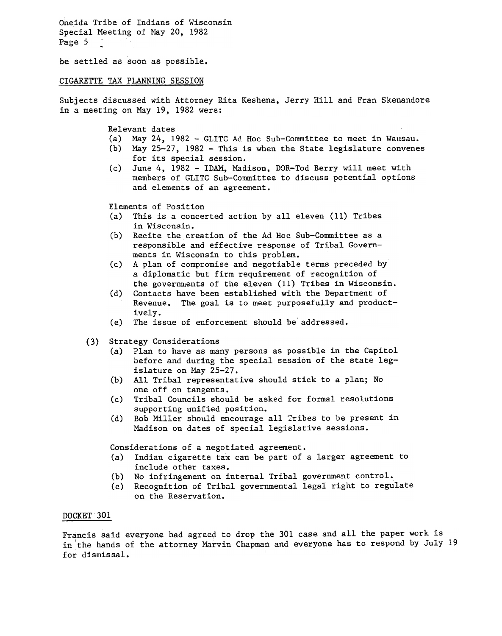be settled as soon as possible.

## CIGARETTE TAX PLANNING SESSION

Subjects discussed with Attorney Rita Keshena, Jerry Hill and Fran Skenandore in a meeting on May 19, 1982 were:

Relevant dates

- (a) May 24, 1982 GLITC Ad Hoc Sub-Committee to meet in Wausau.
- (b) May 25-27, 1982 This is when the State legislature convenes for its special session.
- (c) June 4, 1982 -IDAM, Madison, DOR-Tod Berry will meet with members of GLITC Sub-Committee to discuss potential options and elements of an agreement.

Elements of Position

- (a) This is a concerted action by all eleven (11) Tribes in Wisconsin.
- (b) Recite the creation of the Ad Hoc Sub-Committee as a responsible and effective response of Tribal Governments in Wisconsin to this problem.
- (c) A plan of compromise and negotiable terms preceded by a diplomatic but firm requirement of recognition of the governments of the eleven (11) Tribes in Wisconsin.
- (d) Contacts have been established with the Department of Revenue. The goal is to meet purposefully and productively.
- (e) The issue of enforcement should be" addressed.
- (3) Strategy Considerations
	- (a) Plan to have as many persons as possible in the Capitol before and during the special session of the state legislature on May 25-27.
	- (b) All Tribal representative should stick to a plan; No one off on tangents.
	- (c) Tribal Councils should be asked for formal resolutions supporting unified position.
	- (d) Bob Miller should encourage all Tribes to be present in Madison on dates of special legislative sessions.

Considerations of a negotiated agreement.

- (a) Indian cigarette tax can be part of a larger agreement to include other taxes.
- (b) No infringement on internal Tribal government control.
- (c) Recognition of Tribal governmental legal right to regulate on the Reservation.

## DOCKET 301

Francis said everyone had agreed to drop the 301 case and all the paper work is in the hands of the attorney Marvin Chapman and everyone has to respond by July 19 for dismissal.